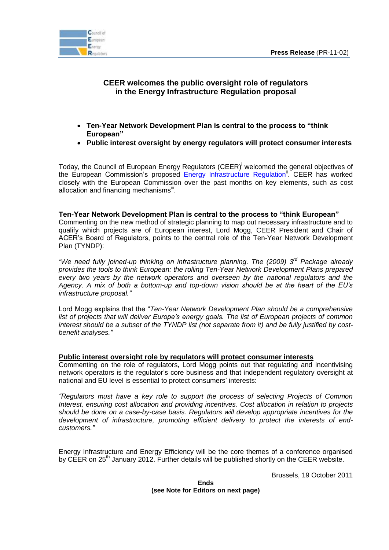

# **CEER welcomes the public oversight role of regulators in the Energy Infrastructure Regulation proposal**

- **Ten-Year Network Development Plan is central to the process to "think European"**
- **Public interest oversight by energy regulators will protect consumer interests**

Today, the Council of European Energy Regulators (CEER)<sup>i</sup> welcomed the general objectives of the European Commission's proposed [Energy Infrastructure Regulation](http://ec.europa.eu/energy/infrastructure/strategy/2020_en.htm)<sup>ii</sup>. CEER has worked closely with the European Commission over the past months on key elements, such as cost allocation and financing mechanismsii.

### **Ten-Year Network Development Plan is central to the process to "think European"**

Commenting on the new method of strategic planning to map out necessary infrastructure and to qualify which projects are of European interest, Lord Mogg, CEER President and Chair of ACER's Board of Regulators, points to the central role of the Ten-Year Network Development Plan (TYNDP):

*"We need fully joined-up thinking on infrastructure planning. The (2009) 3rd Package already provides the tools to think European: the rolling Ten-Year Network Development Plans prepared every two years by the network operators and overseen by the national regulators and the Agency. A mix of both a bottom-up and top-down vision should be at the heart of the EU's infrastructure proposal."*

Lord Mogg explains that the "*Ten-Year Network Development Plan should be a comprehensive list of projects that will deliver Europe's energy goals. The list of European projects of common interest should be a subset of the TYNDP list (not separate from it) and be fully justified by costbenefit analyses."*

#### **Public interest oversight role by regulators will protect consumer interests**

Commenting on the role of regulators, Lord Mogg points out that regulating and incentivising network operators is the regulator's core business and that independent regulatory oversight at national and EU level is essential to protect consumers' interests:

*"Regulators must have a key role to support the process of selecting Projects of Common Interest, ensuring cost allocation and providing incentives. Cost allocation in relation to projects should be done on a case-by-case basis. Regulators will develop appropriate incentives for the development of infrastructure, promoting efficient delivery to protect the interests of endcustomers."*

Energy Infrastructure and Energy Efficiency will be the core themes of a conference organised by CEER on 25<sup>th</sup> January 2012. Further details will be published shortly on the CEER website.

Brussels, 19 October 2011

#### **Ends (see Note for Editors on next page)**